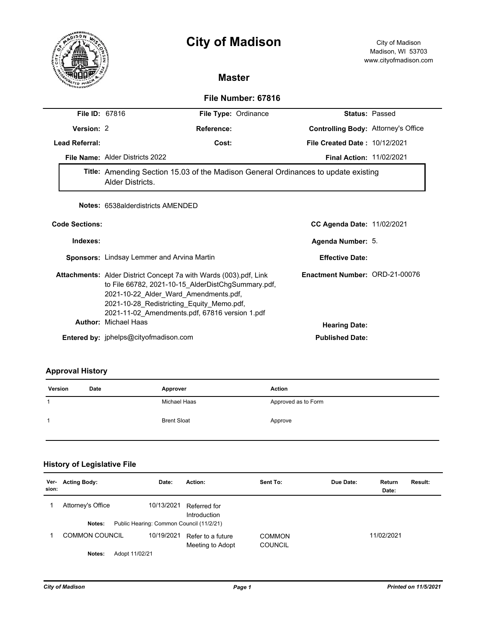# **City of Madison** City of Madison



# **Master**

## **File Number: 67816**

| <b>File ID: 67816</b> |                                                                                                                                                                                                                                                                        | File Type: Ordinance |                                      | <b>Status: Passed</b> |
|-----------------------|------------------------------------------------------------------------------------------------------------------------------------------------------------------------------------------------------------------------------------------------------------------------|----------------------|--------------------------------------|-----------------------|
| Version: 2            |                                                                                                                                                                                                                                                                        | Reference:           | Controlling Body: Attorney's Office  |                       |
| <b>Lead Referral:</b> | Cost:                                                                                                                                                                                                                                                                  |                      | <b>File Created Date: 10/12/2021</b> |                       |
|                       | File Name: Alder Districts 2022                                                                                                                                                                                                                                        |                      | <b>Final Action: 11/02/2021</b>      |                       |
|                       | Title: Amending Section 15.03 of the Madison General Ordinances to update existing<br>Alder Districts.                                                                                                                                                                 |                      |                                      |                       |
|                       | <b>Notes: 6538alderdistricts AMENDED</b>                                                                                                                                                                                                                               |                      |                                      |                       |
| <b>Code Sections:</b> |                                                                                                                                                                                                                                                                        |                      | <b>CC Agenda Date: 11/02/2021</b>    |                       |
| Indexes:              |                                                                                                                                                                                                                                                                        |                      | Agenda Number: 5.                    |                       |
|                       | <b>Sponsors:</b> Lindsay Lemmer and Arvina Martin                                                                                                                                                                                                                      |                      | <b>Effective Date:</b>               |                       |
|                       | <b>Attachments:</b> Alder District Concept 7a with Wards (003).pdf, Link<br>to File 66782, 2021-10-15 AlderDistChgSummary.pdf,<br>2021-10-22_Alder_Ward_Amendments.pdf,<br>2021-10-28 Redistricting Equity Memo.pdf,<br>2021-11-02 Amendments.pdf, 67816 version 1.pdf |                      | Enactment Number: ORD-21-00076       |                       |
|                       | <b>Author: Michael Haas</b>                                                                                                                                                                                                                                            |                      | <b>Hearing Date:</b>                 |                       |
|                       | Eustava al-barra de la alega Qualitza fue e di egun presen                                                                                                                                                                                                             |                      | Build Barboral Braders               |                       |

**Entered by:** jphelps@cityofmadison.com **Published Date:** 

## **Approval History**

| Version | <b>Date</b> | Approver           | Action              |
|---------|-------------|--------------------|---------------------|
| 1       |             | Michael Haas       | Approved as to Form |
|         |             | <b>Brent Sloat</b> | Approve             |

# **History of Legislative File**

| Ver-<br>sion: | <b>Acting Body:</b>      | Date:                                    | Action:                               | Sent To:                        | Due Date: | Return<br>Date: | Result: |
|---------------|--------------------------|------------------------------------------|---------------------------------------|---------------------------------|-----------|-----------------|---------|
|               | Attorney's Office        | 10/13/2021                               | Referred for<br>Introduction          |                                 |           |                 |         |
|               | Notes:                   | Public Hearing: Common Council (11/2/21) |                                       |                                 |           |                 |         |
|               | <b>COMMON COUNCIL</b>    | 10/19/2021                               | Refer to a future<br>Meeting to Adopt | <b>COMMON</b><br><b>COUNCIL</b> |           | 11/02/2021      |         |
|               | Adopt 11/02/21<br>Notes: |                                          |                                       |                                 |           |                 |         |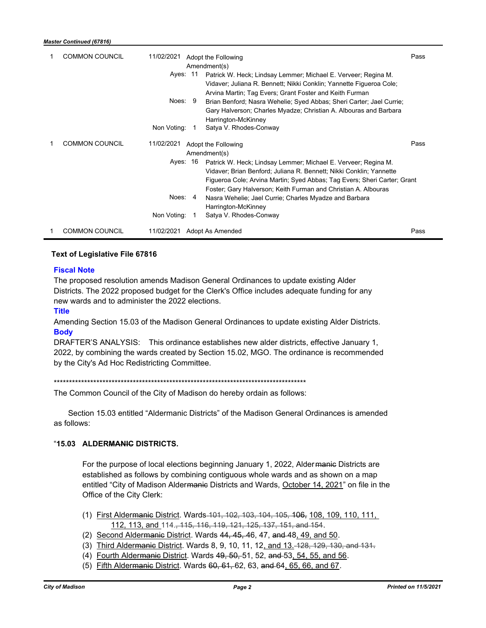| <b>COMMON COUNCIL</b> | 11/02/2021<br>Adopt the Following<br>Amendment(s)<br>Ayes: 11<br>Patrick W. Heck; Lindsay Lemmer; Michael E. Verveer; Regina M.<br>Vidaver; Juliana R. Bennett; Nikki Conklin; Yannette Figueroa Cole;<br>Arvina Martin; Tag Evers; Grant Foster and Keith Furman<br>Noes: 9<br>Brian Benford; Nasra Wehelie; Syed Abbas; Sheri Carter; Jael Currie;<br>Gary Halverson; Charles Myadze; Christian A. Albouras and Barbara<br>Harrington-McKinney<br>Non Voting:<br>Satya V. Rhodes-Conway<br>$\overline{1}$ | Pass |
|-----------------------|-------------------------------------------------------------------------------------------------------------------------------------------------------------------------------------------------------------------------------------------------------------------------------------------------------------------------------------------------------------------------------------------------------------------------------------------------------------------------------------------------------------|------|
| <b>COMMON COUNCIL</b> | 11/02/2021<br>Adopt the Following<br>Amendment(s)<br>Ayes: 16<br>Patrick W. Heck; Lindsay Lemmer; Michael E. Verveer; Regina M.<br>Vidaver; Brian Benford; Juliana R. Bennett; Nikki Conklin; Yannette<br>Figueroa Cole; Arvina Martin; Syed Abbas; Tag Evers; Sheri Carter; Grant<br>Foster; Gary Halverson; Keith Furman and Christian A. Albouras<br>Noes: 4<br>Nasra Wehelie; Jael Currie; Charles Myadze and Barbara<br>Harrington-McKinney<br>Non Voting:<br>Satya V. Rhodes-Conway<br>-1             | Pass |
| <b>COMMON COUNCIL</b> | Adopt As Amended<br>11/02/2021                                                                                                                                                                                                                                                                                                                                                                                                                                                                              | Pass |

### **Text of Legislative File 67816**

#### **Fiscal Note**

The proposed resolution amends Madison General Ordinances to update existing Alder Districts. The 2022 proposed budget for the Clerk's Office includes adequate funding for any new wards and to administer the 2022 elections.

**Title**

Amending Section 15.03 of the Madison General Ordinances to update existing Alder Districts. **Body**

DRAFTER'S ANALYSIS: This ordinance establishes new alder districts, effective January 1, 2022, by combining the wards created by Section 15.02, MGO. The ordinance is recommended by the City's Ad Hoc Redistricting Committee.

\*\*\*\*\*\*\*\*\*\*\*\*\*\*\*\*\*\*\*\*\*\*\*\*\*\*\*\*\*\*\*\*\*\*\*\*\*\*\*\*\*\*\*\*\*\*\*\*\*\*\*\*\*\*\*\*\*\*\*\*\*\*\*\*\*\*\*\*\*\*\*\*\*\*\*\*\*\*\*\*\*\*\*

The Common Council of the City of Madison do hereby ordain as follows:

Section 15.03 entitled "Aldermanic Districts" of the Madison General Ordinances is amended as follows:

#### "**15.03 ALDERMANIC DISTRICTS.**

For the purpose of local elections beginning January 1, 2022, Alder manie Districts are established as follows by combining contiguous whole wards and as shown on a map entitled "City of Madison Alder<del>manic</del> Districts and Wards, October 14, 2021" on file in the Office of the City Clerk:

- (1) First Aldermanic District. Wards 101, 102, 103, 104, 105, 106, 108, 109, 110, 111, 112, 113, and 114., 115, 116, 119, 121, 125, 137, 151, and 154.
- (2) Second Aldermanic District. Wards 44, 45, 46, 47, and 48, 49, and 50.
- (3) Third Alder<del>manic</del> District. Wards 8, 9, 10, 11, 12, and 13. 128, 129, 130, and 131.
- (4) Fourth Aldermanic District. Wards 49, 50, 51, 52, and 53, 54, 55, and 56.
- (5) Fifth Alder<del>manic</del> District. Wards <del>60, 61, </del>62, 63, and 64<u>, 65, 66, and 67</u>.